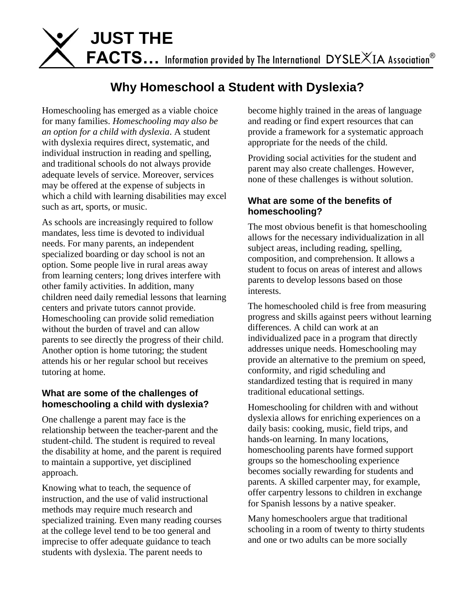

# **Why Homeschool a Student with Dyslexia?**

Homeschooling has emerged as a viable choice for many families. *Homeschooling may also be an option for a child with dyslexia*. A student with dyslexia requires direct, systematic, and individual instruction in reading and spelling, and traditional schools do not always provide adequate levels of service. Moreover, services may be offered at the expense of subjects in which a child with learning disabilities may excel such as art, sports, or music.

As schools are increasingly required to follow mandates, less time is devoted to individual needs. For many parents, an independent specialized boarding or day school is not an option. Some people live in rural areas away from learning centers; long drives interfere with other family activities. In addition, many children need daily remedial lessons that learning centers and private tutors cannot provide. Homeschooling can provide solid remediation without the burden of travel and can allow parents to see directly the progress of their child. Another option is home tutoring; the student attends his or her regular school but receives tutoring at home.

#### **What are some of the challenges of homeschooling a child with dyslexia?**

One challenge a parent may face is the relationship between the teacher-parent and the student-child. The student is required to reveal the disability at home, and the parent is required to maintain a supportive, yet disciplined approach.

Knowing what to teach, the sequence of instruction, and the use of valid instructional methods may require much research and specialized training. Even many reading courses at the college level tend to be too general and imprecise to offer adequate guidance to teach students with dyslexia. The parent needs to

become highly trained in the areas of language and reading or find expert resources that can provide a framework for a systematic approach appropriate for the needs of the child.

Providing social activities for the student and parent may also create challenges. However, none of these challenges is without solution.

#### **What are some of the benefits of homeschooling?**

The most obvious benefit is that homeschooling allows for the necessary individualization in all subject areas, including reading, spelling, composition, and comprehension. It allows a student to focus on areas of interest and allows parents to develop lessons based on those interests.

The homeschooled child is free from measuring progress and skills against peers without learning differences. A child can work at an individualized pace in a program that directly addresses unique needs. Homeschooling may provide an alternative to the premium on speed, conformity, and rigid scheduling and standardized testing that is required in many traditional educational settings.

Homeschooling for children with and without dyslexia allows for enriching experiences on a daily basis: cooking, music, field trips, and hands-on learning. In many locations, homeschooling parents have formed support groups so the homeschooling experience becomes socially rewarding for students and parents. A skilled carpenter may, for example, offer carpentry lessons to children in exchange for Spanish lessons by a native speaker.

Many homeschoolers argue that traditional schooling in a room of twenty to thirty students and one or two adults can be more socially